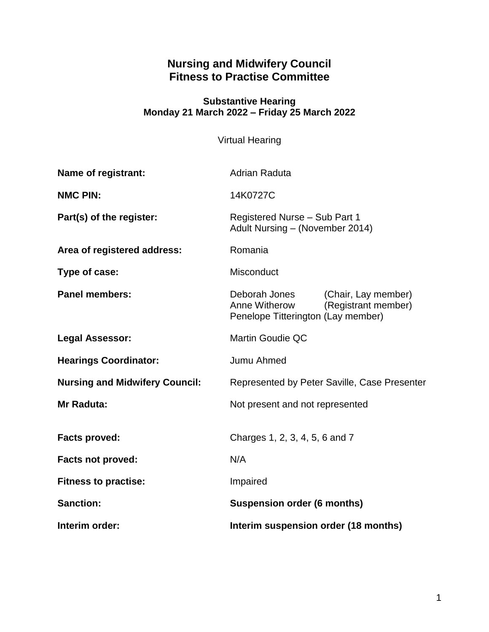# **Nursing and Midwifery Council Fitness to Practise Committee**

#### **Substantive Hearing Monday 21 March 2022 – Friday 25 March 2022**

Virtual Hearing

| Name of registrant:                   | <b>Adrian Raduta</b>                                                                                               |
|---------------------------------------|--------------------------------------------------------------------------------------------------------------------|
| <b>NMC PIN:</b>                       | 14K0727C                                                                                                           |
| Part(s) of the register:              | Registered Nurse - Sub Part 1<br>Adult Nursing - (November 2014)                                                   |
| Area of registered address:           | Romania                                                                                                            |
| Type of case:                         | Misconduct                                                                                                         |
| <b>Panel members:</b>                 | Deborah Jones<br>(Chair, Lay member)<br>(Registrant member)<br>Anne Witherow<br>Penelope Titterington (Lay member) |
| <b>Legal Assessor:</b>                | <b>Martin Goudie QC</b>                                                                                            |
| <b>Hearings Coordinator:</b>          | Jumu Ahmed                                                                                                         |
| <b>Nursing and Midwifery Council:</b> | Represented by Peter Saville, Case Presenter                                                                       |
| Mr Raduta:                            | Not present and not represented                                                                                    |
| <b>Facts proved:</b>                  | Charges 1, 2, 3, 4, 5, 6 and 7                                                                                     |
| <b>Facts not proved:</b>              | N/A                                                                                                                |
| <b>Fitness to practise:</b>           | Impaired                                                                                                           |
| <b>Sanction:</b>                      | <b>Suspension order (6 months)</b>                                                                                 |
| Interim order:                        | Interim suspension order (18 months)                                                                               |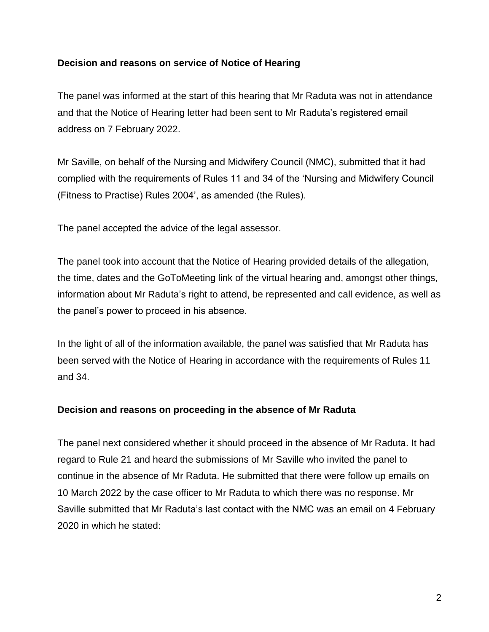### **Decision and reasons on service of Notice of Hearing**

The panel was informed at the start of this hearing that Mr Raduta was not in attendance and that the Notice of Hearing letter had been sent to Mr Raduta's registered email address on 7 February 2022.

Mr Saville, on behalf of the Nursing and Midwifery Council (NMC), submitted that it had complied with the requirements of Rules 11 and 34 of the 'Nursing and Midwifery Council (Fitness to Practise) Rules 2004', as amended (the Rules).

The panel accepted the advice of the legal assessor.

The panel took into account that the Notice of Hearing provided details of the allegation, the time, dates and the GoToMeeting link of the virtual hearing and, amongst other things, information about Mr Raduta's right to attend, be represented and call evidence, as well as the panel's power to proceed in his absence.

In the light of all of the information available, the panel was satisfied that Mr Raduta has been served with the Notice of Hearing in accordance with the requirements of Rules 11 and 34.

#### **Decision and reasons on proceeding in the absence of Mr Raduta**

The panel next considered whether it should proceed in the absence of Mr Raduta. It had regard to Rule 21 and heard the submissions of Mr Saville who invited the panel to continue in the absence of Mr Raduta. He submitted that there were follow up emails on 10 March 2022 by the case officer to Mr Raduta to which there was no response. Mr Saville submitted that Mr Raduta's last contact with the NMC was an email on 4 February 2020 in which he stated: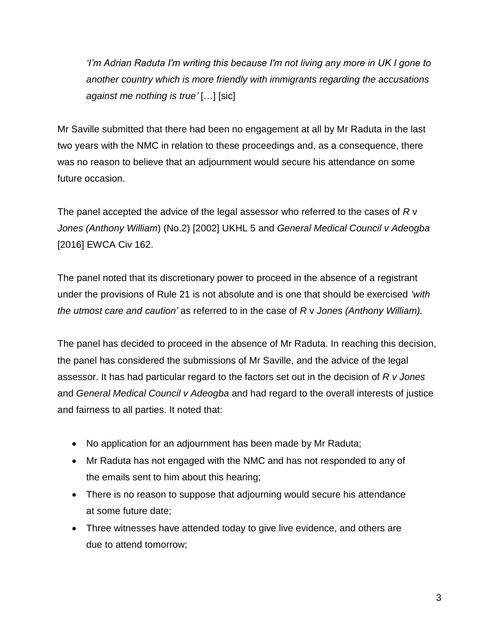*'I'm Adrian Raduta I'm writing this because I'm not living any more in UK I gone to another country which is more friendly with immigrants regarding the accusations against me nothing is true'* […] [sic]

Mr Saville submitted that there had been no engagement at all by Mr Raduta in the last two years with the NMC in relation to these proceedings and, as a consequence, there was no reason to believe that an adjournment would secure his attendance on some future occasion.

The panel accepted the advice of the legal assessor who referred to the cases of *R* v *Jones (Anthony William*) (No.2) [2002] UKHL 5 and *General Medical Council v Adeogba*  [2016] EWCA Civ 162.

The panel noted that its discretionary power to proceed in the absence of a registrant under the provisions of Rule 21 is not absolute and is one that should be exercised *'with the utmost care and caution'* as referred to in the case of *R* v *Jones (Anthony William).*

The panel has decided to proceed in the absence of Mr Raduta. In reaching this decision, the panel has considered the submissions of Mr Saville, and the advice of the legal assessor. It has had particular regard to the factors set out in the decision of *R v Jones*  and *General Medical Council v Adeogba* and had regard to the overall interests of justice and fairness to all parties. It noted that:

- No application for an adjournment has been made by Mr Raduta;
- Mr Raduta has not engaged with the NMC and has not responded to any of the emails sent to him about this hearing;
- There is no reason to suppose that adjourning would secure his attendance at some future date;
- Three witnesses have attended today to give live evidence, and others are due to attend tomorrow;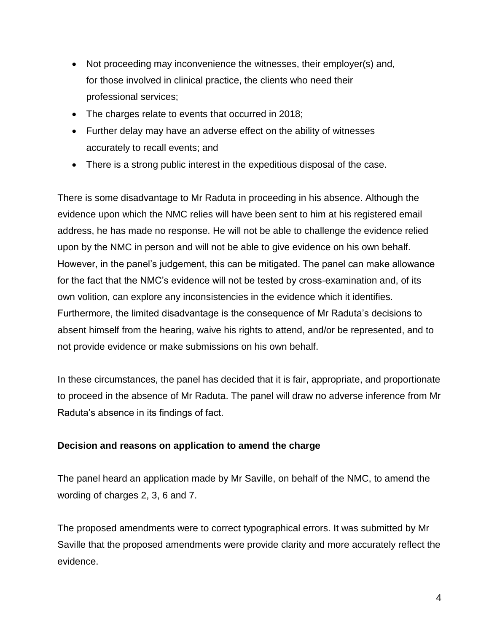- Not proceeding may inconvenience the witnesses, their employer(s) and, for those involved in clinical practice, the clients who need their professional services;
- The charges relate to events that occurred in 2018;
- Further delay may have an adverse effect on the ability of witnesses accurately to recall events; and
- There is a strong public interest in the expeditious disposal of the case.

There is some disadvantage to Mr Raduta in proceeding in his absence. Although the evidence upon which the NMC relies will have been sent to him at his registered email address, he has made no response. He will not be able to challenge the evidence relied upon by the NMC in person and will not be able to give evidence on his own behalf. However, in the panel's judgement, this can be mitigated. The panel can make allowance for the fact that the NMC's evidence will not be tested by cross-examination and, of its own volition, can explore any inconsistencies in the evidence which it identifies. Furthermore, the limited disadvantage is the consequence of Mr Raduta's decisions to absent himself from the hearing, waive his rights to attend, and/or be represented, and to not provide evidence or make submissions on his own behalf.

In these circumstances, the panel has decided that it is fair, appropriate, and proportionate to proceed in the absence of Mr Raduta. The panel will draw no adverse inference from Mr Raduta's absence in its findings of fact.

### **Decision and reasons on application to amend the charge**

The panel heard an application made by Mr Saville, on behalf of the NMC, to amend the wording of charges 2, 3, 6 and 7.

The proposed amendments were to correct typographical errors. It was submitted by Mr Saville that the proposed amendments were provide clarity and more accurately reflect the evidence.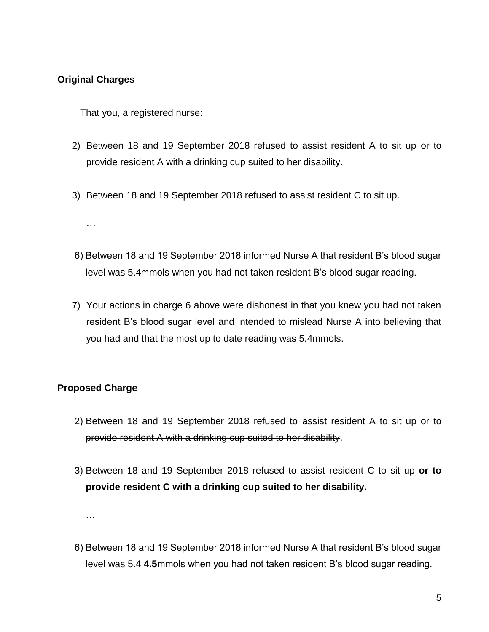#### **Original Charges**

That you, a registered nurse:

- 2) Between 18 and 19 September 2018 refused to assist resident A to sit up or to provide resident A with a drinking cup suited to her disability.
- 3) Between 18 and 19 September 2018 refused to assist resident C to sit up.

…

- 6) Between 18 and 19 September 2018 informed Nurse A that resident B's blood sugar level was 5.4mmols when you had not taken resident B's blood sugar reading.
- 7) Your actions in charge 6 above were dishonest in that you knew you had not taken resident B's blood sugar level and intended to mislead Nurse A into believing that you had and that the most up to date reading was 5.4mmols.

### **Proposed Charge**

- 2) Between 18 and 19 September 2018 refused to assist resident A to sit up or to provide resident A with a drinking cup suited to her disability.
- 3) Between 18 and 19 September 2018 refused to assist resident C to sit up **or to provide resident C with a drinking cup suited to her disability.**

…

6) Between 18 and 19 September 2018 informed Nurse A that resident B's blood sugar level was 5.4 **4.5**mmols when you had not taken resident B's blood sugar reading.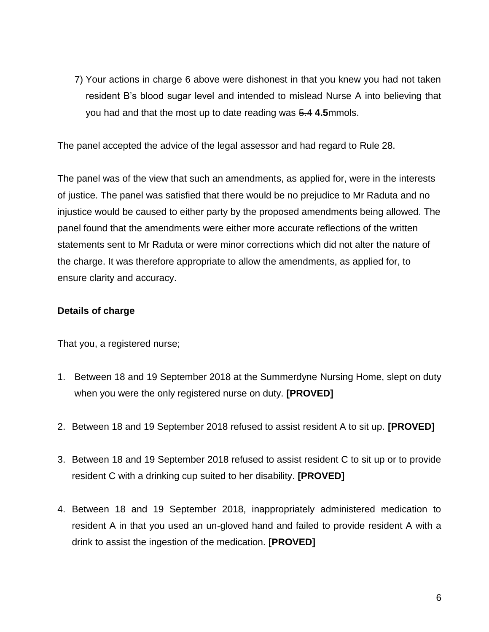7) Your actions in charge 6 above were dishonest in that you knew you had not taken resident B's blood sugar level and intended to mislead Nurse A into believing that you had and that the most up to date reading was 5.4 **4.5**mmols.

The panel accepted the advice of the legal assessor and had regard to Rule 28.

The panel was of the view that such an amendments, as applied for, were in the interests of justice. The panel was satisfied that there would be no prejudice to Mr Raduta and no injustice would be caused to either party by the proposed amendments being allowed. The panel found that the amendments were either more accurate reflections of the written statements sent to Mr Raduta or were minor corrections which did not alter the nature of the charge. It was therefore appropriate to allow the amendments, as applied for, to ensure clarity and accuracy.

#### **Details of charge**

That you, a registered nurse;

- 1. Between 18 and 19 September 2018 at the Summerdyne Nursing Home, slept on duty when you were the only registered nurse on duty. **[PROVED]**
- 2. Between 18 and 19 September 2018 refused to assist resident A to sit up. **[PROVED]**
- 3. Between 18 and 19 September 2018 refused to assist resident C to sit up or to provide resident C with a drinking cup suited to her disability. **[PROVED]**
- 4. Between 18 and 19 September 2018, inappropriately administered medication to resident A in that you used an un-gloved hand and failed to provide resident A with a drink to assist the ingestion of the medication. **[PROVED]**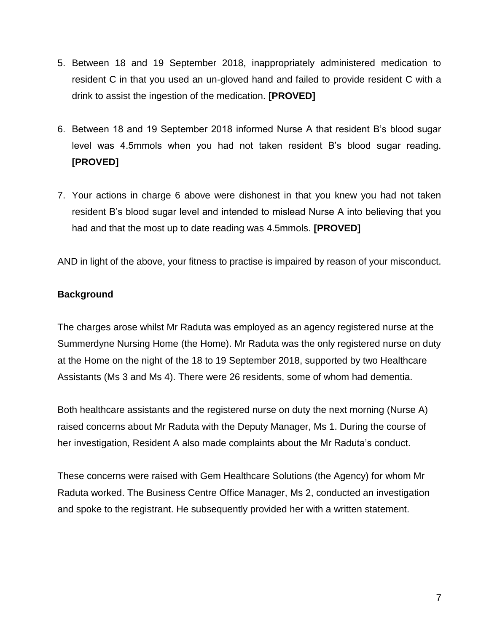- 5. Between 18 and 19 September 2018, inappropriately administered medication to resident C in that you used an un-gloved hand and failed to provide resident C with a drink to assist the ingestion of the medication. **[PROVED]**
- 6. Between 18 and 19 September 2018 informed Nurse A that resident B's blood sugar level was 4.5mmols when you had not taken resident B's blood sugar reading. **[PROVED]**
- 7. Your actions in charge 6 above were dishonest in that you knew you had not taken resident B's blood sugar level and intended to mislead Nurse A into believing that you had and that the most up to date reading was 4.5mmols. **[PROVED]**

AND in light of the above, your fitness to practise is impaired by reason of your misconduct.

## **Background**

The charges arose whilst Mr Raduta was employed as an agency registered nurse at the Summerdyne Nursing Home (the Home). Mr Raduta was the only registered nurse on duty at the Home on the night of the 18 to 19 September 2018, supported by two Healthcare Assistants (Ms 3 and Ms 4). There were 26 residents, some of whom had dementia.

Both healthcare assistants and the registered nurse on duty the next morning (Nurse A) raised concerns about Mr Raduta with the Deputy Manager, Ms 1. During the course of her investigation, Resident A also made complaints about the Mr Raduta's conduct.

These concerns were raised with Gem Healthcare Solutions (the Agency) for whom Mr Raduta worked. The Business Centre Office Manager, Ms 2, conducted an investigation and spoke to the registrant. He subsequently provided her with a written statement.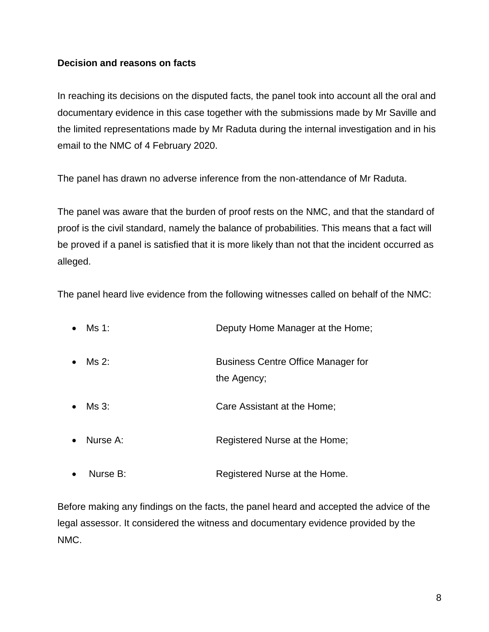### **Decision and reasons on facts**

In reaching its decisions on the disputed facts, the panel took into account all the oral and documentary evidence in this case together with the submissions made by Mr Saville and the limited representations made by Mr Raduta during the internal investigation and in his email to the NMC of 4 February 2020.

The panel has drawn no adverse inference from the non-attendance of Mr Raduta.

The panel was aware that the burden of proof rests on the NMC, and that the standard of proof is the civil standard, namely the balance of probabilities. This means that a fact will be proved if a panel is satisfied that it is more likely than not that the incident occurred as alleged.

The panel heard live evidence from the following witnesses called on behalf of the NMC:

| $\bullet$ | Ms 1:    | Deputy Home Manager at the Home;                         |
|-----------|----------|----------------------------------------------------------|
| $\bullet$ | Ms 2:    | <b>Business Centre Office Manager for</b><br>the Agency; |
| $\bullet$ | Ms 3:    | Care Assistant at the Home:                              |
| $\bullet$ | Nurse A: | Registered Nurse at the Home;                            |
| $\bullet$ | Nurse B: | Registered Nurse at the Home.                            |

Before making any findings on the facts, the panel heard and accepted the advice of the legal assessor. It considered the witness and documentary evidence provided by the NMC.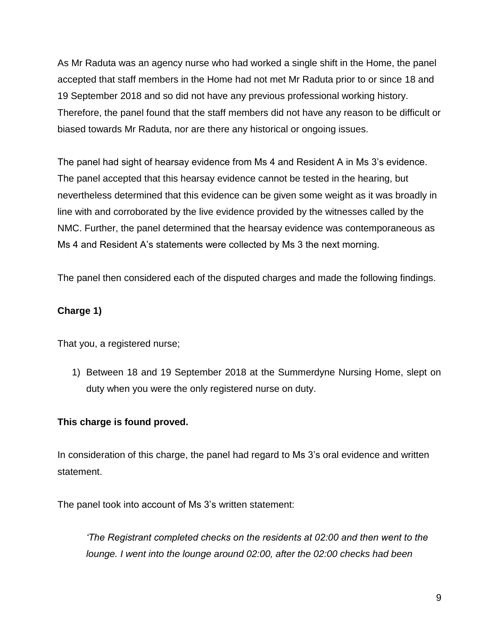As Mr Raduta was an agency nurse who had worked a single shift in the Home, the panel accepted that staff members in the Home had not met Mr Raduta prior to or since 18 and 19 September 2018 and so did not have any previous professional working history. Therefore, the panel found that the staff members did not have any reason to be difficult or biased towards Mr Raduta, nor are there any historical or ongoing issues.

The panel had sight of hearsay evidence from Ms 4 and Resident A in Ms 3's evidence. The panel accepted that this hearsay evidence cannot be tested in the hearing, but nevertheless determined that this evidence can be given some weight as it was broadly in line with and corroborated by the live evidence provided by the witnesses called by the NMC. Further, the panel determined that the hearsay evidence was contemporaneous as Ms 4 and Resident A's statements were collected by Ms 3 the next morning.

The panel then considered each of the disputed charges and made the following findings.

## **Charge 1)**

That you, a registered nurse;

1) Between 18 and 19 September 2018 at the Summerdyne Nursing Home, slept on duty when you were the only registered nurse on duty.

### **This charge is found proved.**

In consideration of this charge, the panel had regard to Ms 3's oral evidence and written statement.

The panel took into account of Ms 3's written statement:

*'The Registrant completed checks on the residents at 02:00 and then went to the lounge. I went into the lounge around 02:00, after the 02:00 checks had been*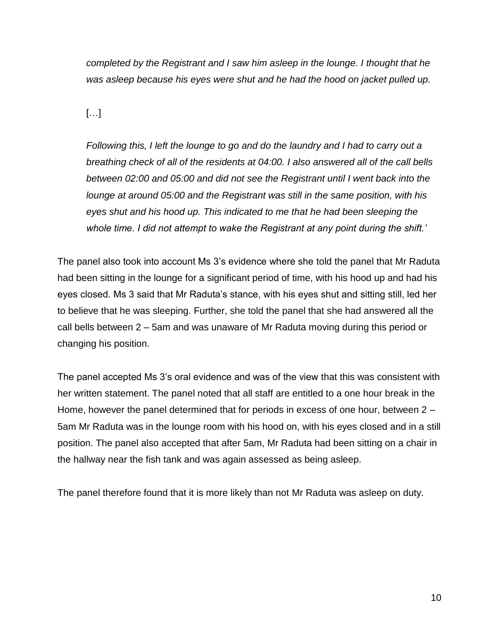*completed by the Registrant and I saw him asleep in the lounge. I thought that he was asleep because his eyes were shut and he had the hood on jacket pulled up.*

[…]

*Following this, I left the lounge to go and do the laundry and I had to carry out a breathing check of all of the residents at 04:00. I also answered all of the call bells between 02:00 and 05:00 and did not see the Registrant until I went back into the lounge at around 05:00 and the Registrant was still in the same position, with his eyes shut and his hood up. This indicated to me that he had been sleeping the whole time. I did not attempt to wake the Registrant at any point during the shift.'* 

The panel also took into account Ms 3's evidence where she told the panel that Mr Raduta had been sitting in the lounge for a significant period of time, with his hood up and had his eyes closed. Ms 3 said that Mr Raduta's stance, with his eyes shut and sitting still, led her to believe that he was sleeping. Further, she told the panel that she had answered all the call bells between 2 – 5am and was unaware of Mr Raduta moving during this period or changing his position.

The panel accepted Ms 3's oral evidence and was of the view that this was consistent with her written statement. The panel noted that all staff are entitled to a one hour break in the Home, however the panel determined that for periods in excess of one hour, between 2 – 5am Mr Raduta was in the lounge room with his hood on, with his eyes closed and in a still position. The panel also accepted that after 5am, Mr Raduta had been sitting on a chair in the hallway near the fish tank and was again assessed as being asleep.

The panel therefore found that it is more likely than not Mr Raduta was asleep on duty.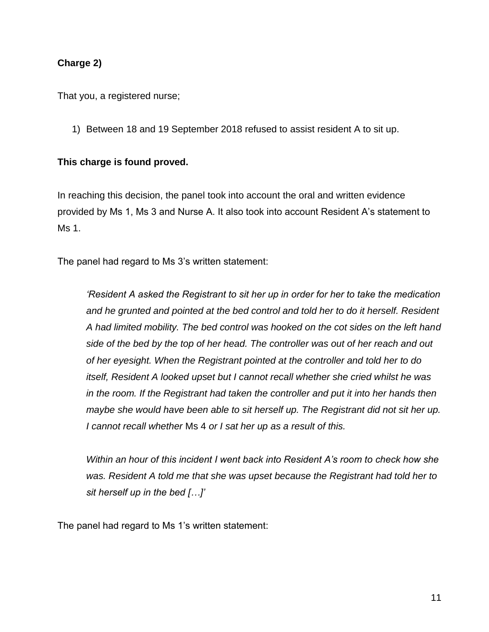### **Charge 2)**

That you, a registered nurse;

1) Between 18 and 19 September 2018 refused to assist resident A to sit up.

#### **This charge is found proved.**

In reaching this decision, the panel took into account the oral and written evidence provided by Ms 1, Ms 3 and Nurse A. It also took into account Resident A's statement to Ms 1.

The panel had regard to Ms 3's written statement:

*'Resident A asked the Registrant to sit her up in order for her to take the medication*  and he grunted and pointed at the bed control and told her to do it herself. Resident *A had limited mobility. The bed control was hooked on the cot sides on the left hand side of the bed by the top of her head. The controller was out of her reach and out of her eyesight. When the Registrant pointed at the controller and told her to do itself, Resident A looked upset but I cannot recall whether she cried whilst he was in the room. If the Registrant had taken the controller and put it into her hands then maybe she would have been able to sit herself up. The Registrant did not sit her up. I cannot recall whether* Ms 4 *or I sat her up as a result of this.* 

*Within an hour of this incident I went back into Resident A's room to check how she was. Resident A told me that she was upset because the Registrant had told her to sit herself up in the bed […]'*

The panel had regard to Ms 1's written statement: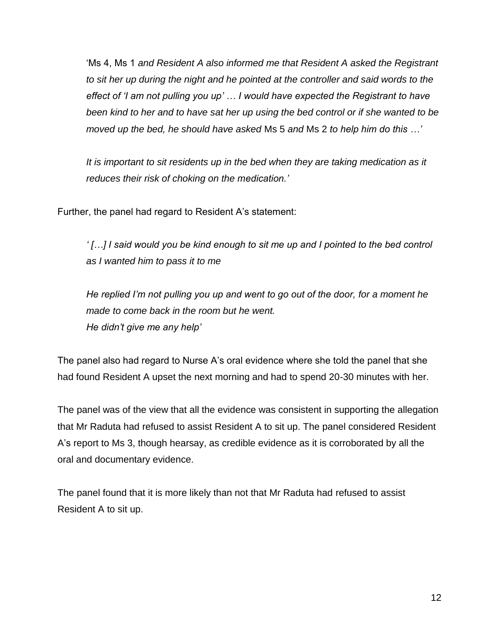'Ms 4, Ms 1 *and Resident A also informed me that Resident A asked the Registrant to sit her up during the night and he pointed at the controller and said words to the effect of 'I am not pulling you up' … I would have expected the Registrant to have been kind to her and to have sat her up using the bed control or if she wanted to be moved up the bed, he should have asked* Ms 5 *and* Ms 2 *to help him do this …'*

*It is important to sit residents up in the bed when they are taking medication as it reduces their risk of choking on the medication.'*

Further, the panel had regard to Resident A's statement:

*' […] I said would you be kind enough to sit me up and I pointed to the bed control as I wanted him to pass it to me*

*He replied I'm not pulling you up and went to go out of the door, for a moment he made to come back in the room but he went. He didn't give me any help'*

The panel also had regard to Nurse A's oral evidence where she told the panel that she had found Resident A upset the next morning and had to spend 20-30 minutes with her.

The panel was of the view that all the evidence was consistent in supporting the allegation that Mr Raduta had refused to assist Resident A to sit up. The panel considered Resident A's report to Ms 3, though hearsay, as credible evidence as it is corroborated by all the oral and documentary evidence.

The panel found that it is more likely than not that Mr Raduta had refused to assist Resident A to sit up.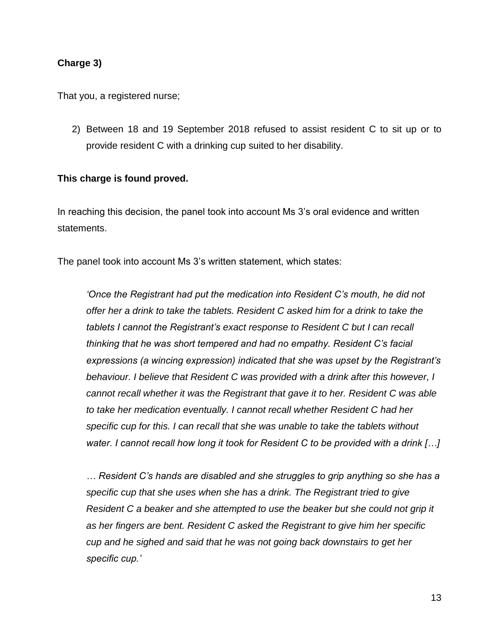#### **Charge 3)**

That you, a registered nurse;

2) Between 18 and 19 September 2018 refused to assist resident C to sit up or to provide resident C with a drinking cup suited to her disability.

#### **This charge is found proved.**

In reaching this decision, the panel took into account Ms 3's oral evidence and written statements.

The panel took into account Ms 3's written statement, which states:

*'Once the Registrant had put the medication into Resident C's mouth, he did not offer her a drink to take the tablets. Resident C asked him for a drink to take the tablets I cannot the Registrant's exact response to Resident C but I can recall thinking that he was short tempered and had no empathy. Resident C's facial expressions (a wincing expression) indicated that she was upset by the Registrant's behaviour. I believe that Resident C was provided with a drink after this however, I cannot recall whether it was the Registrant that gave it to her. Resident C was able to take her medication eventually. I cannot recall whether Resident C had her specific cup for this. I can recall that she was unable to take the tablets without water. I cannot recall how long it took for Resident C to be provided with a drink […]*

*… Resident C's hands are disabled and she struggles to grip anything so she has a specific cup that she uses when she has a drink. The Registrant tried to give Resident C a beaker and she attempted to use the beaker but she could not grip it as her fingers are bent. Resident C asked the Registrant to give him her specific cup and he sighed and said that he was not going back downstairs to get her specific cup.'*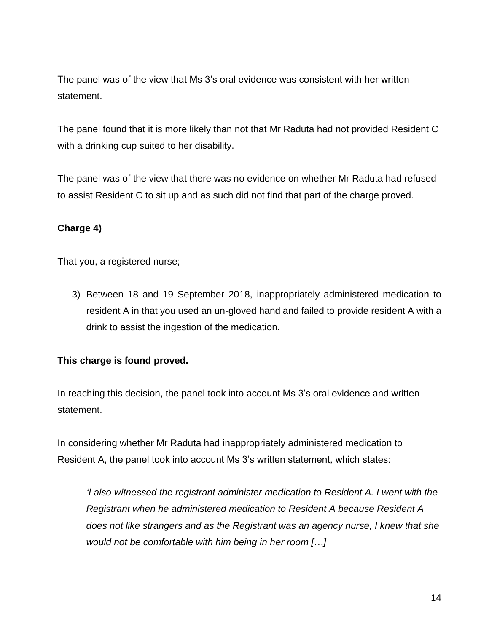The panel was of the view that Ms 3's oral evidence was consistent with her written statement.

The panel found that it is more likely than not that Mr Raduta had not provided Resident C with a drinking cup suited to her disability.

The panel was of the view that there was no evidence on whether Mr Raduta had refused to assist Resident C to sit up and as such did not find that part of the charge proved.

### **Charge 4)**

That you, a registered nurse;

3) Between 18 and 19 September 2018, inappropriately administered medication to resident A in that you used an un-gloved hand and failed to provide resident A with a drink to assist the ingestion of the medication.

### **This charge is found proved.**

In reaching this decision, the panel took into account Ms 3's oral evidence and written statement.

In considering whether Mr Raduta had inappropriately administered medication to Resident A, the panel took into account Ms 3's written statement, which states:

*'I also witnessed the registrant administer medication to Resident A. I went with the Registrant when he administered medication to Resident A because Resident A does not like strangers and as the Registrant was an agency nurse, I knew that she would not be comfortable with him being in her room […]*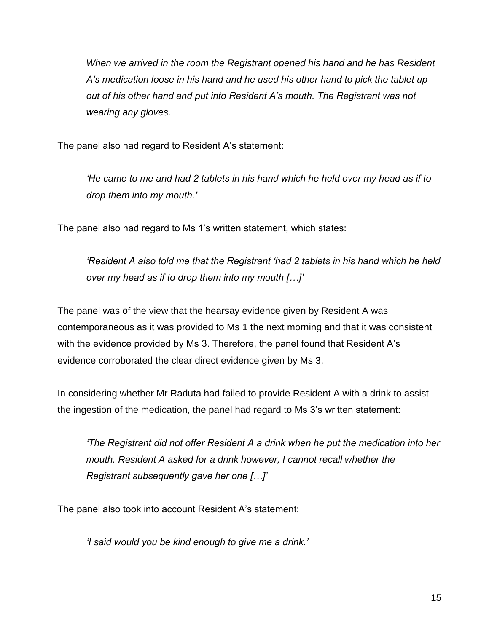*When we arrived in the room the Registrant opened his hand and he has Resident A's medication loose in his hand and he used his other hand to pick the tablet up out of his other hand and put into Resident A's mouth. The Registrant was not wearing any gloves.* 

The panel also had regard to Resident A's statement:

*'He came to me and had 2 tablets in his hand which he held over my head as if to drop them into my mouth.'*

The panel also had regard to Ms 1's written statement, which states:

*'Resident A also told me that the Registrant 'had 2 tablets in his hand which he held over my head as if to drop them into my mouth […]'* 

The panel was of the view that the hearsay evidence given by Resident A was contemporaneous as it was provided to Ms 1 the next morning and that it was consistent with the evidence provided by Ms 3. Therefore, the panel found that Resident A's evidence corroborated the clear direct evidence given by Ms 3.

In considering whether Mr Raduta had failed to provide Resident A with a drink to assist the ingestion of the medication, the panel had regard to Ms 3's written statement:

*'The Registrant did not offer Resident A a drink when he put the medication into her mouth. Resident A asked for a drink however, I cannot recall whether the Registrant subsequently gave her one […]'*

The panel also took into account Resident A's statement:

*'I said would you be kind enough to give me a drink.'*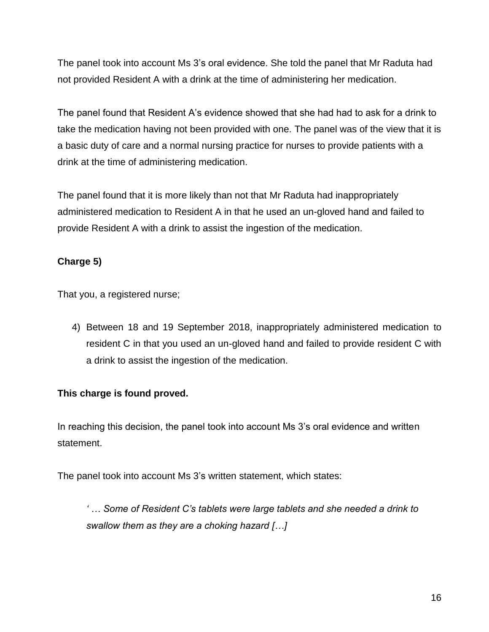The panel took into account Ms 3's oral evidence. She told the panel that Mr Raduta had not provided Resident A with a drink at the time of administering her medication.

The panel found that Resident A's evidence showed that she had had to ask for a drink to take the medication having not been provided with one. The panel was of the view that it is a basic duty of care and a normal nursing practice for nurses to provide patients with a drink at the time of administering medication.

The panel found that it is more likely than not that Mr Raduta had inappropriately administered medication to Resident A in that he used an un-gloved hand and failed to provide Resident A with a drink to assist the ingestion of the medication.

## **Charge 5)**

That you, a registered nurse;

4) Between 18 and 19 September 2018, inappropriately administered medication to resident C in that you used an un-gloved hand and failed to provide resident C with a drink to assist the ingestion of the medication.

## **This charge is found proved.**

In reaching this decision, the panel took into account Ms 3's oral evidence and written statement.

The panel took into account Ms 3's written statement, which states:

*' … Some of Resident C's tablets were large tablets and she needed a drink to swallow them as they are a choking hazard […]*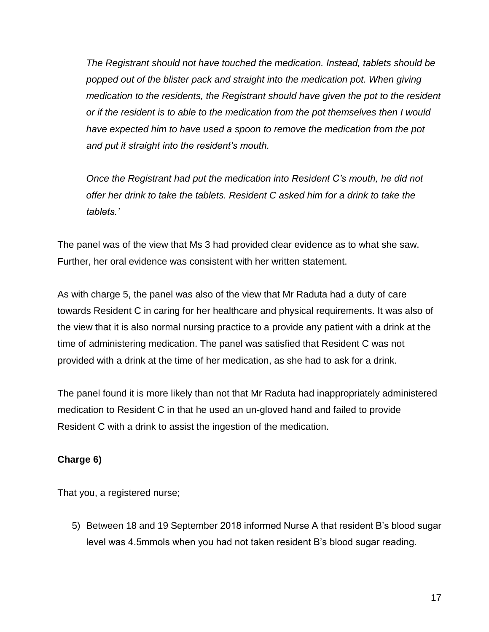*The Registrant should not have touched the medication. Instead, tablets should be popped out of the blister pack and straight into the medication pot. When giving medication to the residents, the Registrant should have given the pot to the resident or if the resident is to able to the medication from the pot themselves then I would have expected him to have used a spoon to remove the medication from the pot and put it straight into the resident's mouth.* 

*Once the Registrant had put the medication into Resident C's mouth, he did not offer her drink to take the tablets. Resident C asked him for a drink to take the tablets.'*

The panel was of the view that Ms 3 had provided clear evidence as to what she saw. Further, her oral evidence was consistent with her written statement.

As with charge 5, the panel was also of the view that Mr Raduta had a duty of care towards Resident C in caring for her healthcare and physical requirements. It was also of the view that it is also normal nursing practice to a provide any patient with a drink at the time of administering medication. The panel was satisfied that Resident C was not provided with a drink at the time of her medication, as she had to ask for a drink.

The panel found it is more likely than not that Mr Raduta had inappropriately administered medication to Resident C in that he used an un-gloved hand and failed to provide Resident C with a drink to assist the ingestion of the medication.

## **Charge 6)**

That you, a registered nurse;

5) Between 18 and 19 September 2018 informed Nurse A that resident B's blood sugar level was 4.5mmols when you had not taken resident B's blood sugar reading.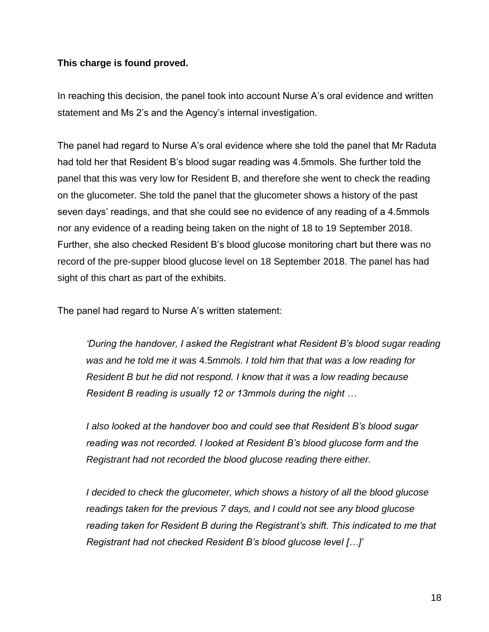#### **This charge is found proved.**

In reaching this decision, the panel took into account Nurse A's oral evidence and written statement and Ms 2's and the Agency's internal investigation.

The panel had regard to Nurse A's oral evidence where she told the panel that Mr Raduta had told her that Resident B's blood sugar reading was 4.5mmols. She further told the panel that this was very low for Resident B, and therefore she went to check the reading on the glucometer. She told the panel that the glucometer shows a history of the past seven days' readings, and that she could see no evidence of any reading of a 4.5mmols nor any evidence of a reading being taken on the night of 18 to 19 September 2018. Further, she also checked Resident B's blood glucose monitoring chart but there was no record of the pre-supper blood glucose level on 18 September 2018. The panel has had sight of this chart as part of the exhibits.

The panel had regard to Nurse A's written statement:

*'During the handover, I asked the Registrant what Resident B's blood sugar reading was and he told me it was* 4.5*mmols. I told him that that was a low reading for Resident B but he did not respond. I know that it was a low reading because Resident B reading is usually 12 or 13mmols during the night …*

*I also looked at the handover boo and could see that Resident B's blood sugar reading was not recorded. I looked at Resident B's blood glucose form and the Registrant had not recorded the blood glucose reading there either.* 

*I decided to check the glucometer, which shows a history of all the blood glucose readings taken for the previous 7 days, and I could not see any blood glucose reading taken for Resident B during the Registrant's shift. This indicated to me that Registrant had not checked Resident B's blood glucose level […]'*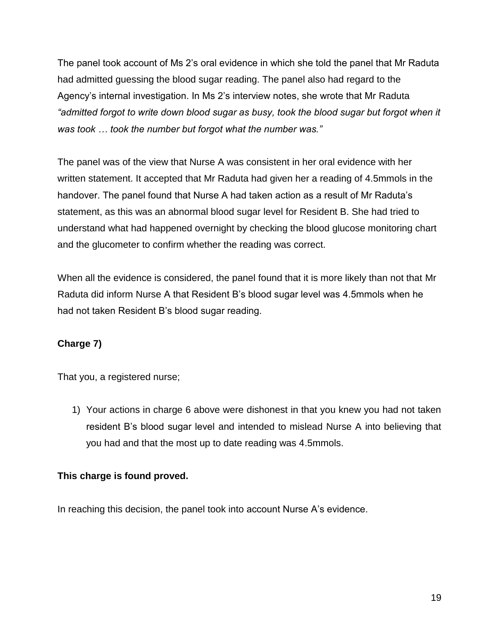The panel took account of Ms 2's oral evidence in which she told the panel that Mr Raduta had admitted guessing the blood sugar reading. The panel also had regard to the Agency's internal investigation. In Ms 2's interview notes, she wrote that Mr Raduta *"admitted forgot to write down blood sugar as busy, took the blood sugar but forgot when it was took … took the number but forgot what the number was."*

The panel was of the view that Nurse A was consistent in her oral evidence with her written statement. It accepted that Mr Raduta had given her a reading of 4.5mmols in the handover. The panel found that Nurse A had taken action as a result of Mr Raduta's statement, as this was an abnormal blood sugar level for Resident B. She had tried to understand what had happened overnight by checking the blood glucose monitoring chart and the glucometer to confirm whether the reading was correct.

When all the evidence is considered, the panel found that it is more likely than not that Mr Raduta did inform Nurse A that Resident B's blood sugar level was 4.5mmols when he had not taken Resident B's blood sugar reading.

## **Charge 7)**

That you, a registered nurse;

1) Your actions in charge 6 above were dishonest in that you knew you had not taken resident B's blood sugar level and intended to mislead Nurse A into believing that you had and that the most up to date reading was 4.5mmols.

### **This charge is found proved.**

In reaching this decision, the panel took into account Nurse A's evidence.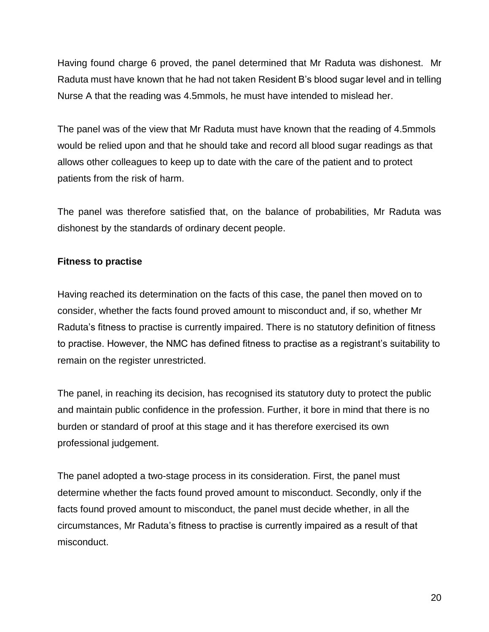Having found charge 6 proved, the panel determined that Mr Raduta was dishonest. Mr Raduta must have known that he had not taken Resident B's blood sugar level and in telling Nurse A that the reading was 4.5mmols, he must have intended to mislead her.

The panel was of the view that Mr Raduta must have known that the reading of 4.5mmols would be relied upon and that he should take and record all blood sugar readings as that allows other colleagues to keep up to date with the care of the patient and to protect patients from the risk of harm.

The panel was therefore satisfied that, on the balance of probabilities, Mr Raduta was dishonest by the standards of ordinary decent people.

### **Fitness to practise**

Having reached its determination on the facts of this case, the panel then moved on to consider, whether the facts found proved amount to misconduct and, if so, whether Mr Raduta's fitness to practise is currently impaired. There is no statutory definition of fitness to practise. However, the NMC has defined fitness to practise as a registrant's suitability to remain on the register unrestricted.

The panel, in reaching its decision, has recognised its statutory duty to protect the public and maintain public confidence in the profession. Further, it bore in mind that there is no burden or standard of proof at this stage and it has therefore exercised its own professional judgement.

The panel adopted a two-stage process in its consideration. First, the panel must determine whether the facts found proved amount to misconduct. Secondly, only if the facts found proved amount to misconduct, the panel must decide whether, in all the circumstances, Mr Raduta's fitness to practise is currently impaired as a result of that misconduct.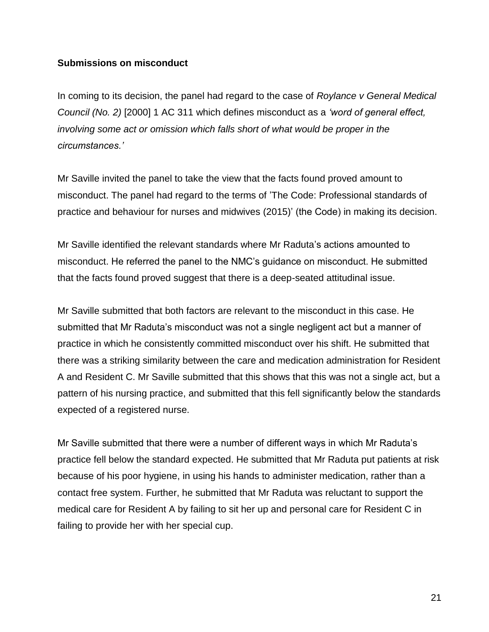#### **Submissions on misconduct**

In coming to its decision, the panel had regard to the case of *Roylance v General Medical Council (No. 2)* [2000] 1 AC 311 which defines misconduct as a *'word of general effect, involving some act or omission which falls short of what would be proper in the circumstances.'*

Mr Saville invited the panel to take the view that the facts found proved amount to misconduct. The panel had regard to the terms of 'The Code: Professional standards of practice and behaviour for nurses and midwives (2015)' (the Code) in making its decision.

Mr Saville identified the relevant standards where Mr Raduta's actions amounted to misconduct. He referred the panel to the NMC's guidance on misconduct. He submitted that the facts found proved suggest that there is a deep-seated attitudinal issue.

Mr Saville submitted that both factors are relevant to the misconduct in this case. He submitted that Mr Raduta's misconduct was not a single negligent act but a manner of practice in which he consistently committed misconduct over his shift. He submitted that there was a striking similarity between the care and medication administration for Resident A and Resident C. Mr Saville submitted that this shows that this was not a single act, but a pattern of his nursing practice, and submitted that this fell significantly below the standards expected of a registered nurse.

Mr Saville submitted that there were a number of different ways in which Mr Raduta's practice fell below the standard expected. He submitted that Mr Raduta put patients at risk because of his poor hygiene, in using his hands to administer medication, rather than a contact free system. Further, he submitted that Mr Raduta was reluctant to support the medical care for Resident A by failing to sit her up and personal care for Resident C in failing to provide her with her special cup.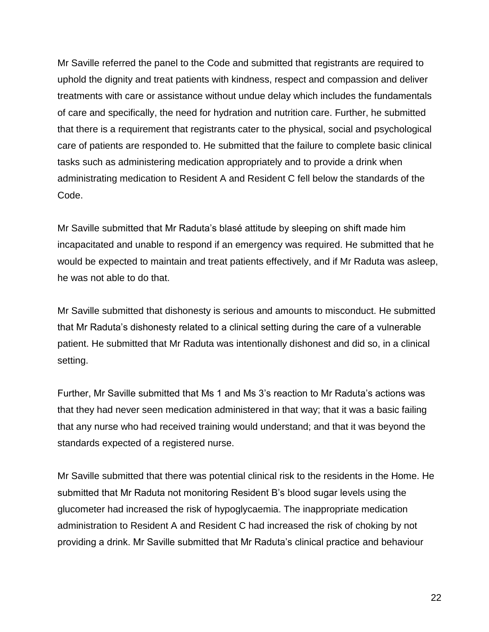Mr Saville referred the panel to the Code and submitted that registrants are required to uphold the dignity and treat patients with kindness, respect and compassion and deliver treatments with care or assistance without undue delay which includes the fundamentals of care and specifically, the need for hydration and nutrition care. Further, he submitted that there is a requirement that registrants cater to the physical, social and psychological care of patients are responded to. He submitted that the failure to complete basic clinical tasks such as administering medication appropriately and to provide a drink when administrating medication to Resident A and Resident C fell below the standards of the Code.

Mr Saville submitted that Mr Raduta's blasé attitude by sleeping on shift made him incapacitated and unable to respond if an emergency was required. He submitted that he would be expected to maintain and treat patients effectively, and if Mr Raduta was asleep, he was not able to do that.

Mr Saville submitted that dishonesty is serious and amounts to misconduct. He submitted that Mr Raduta's dishonesty related to a clinical setting during the care of a vulnerable patient. He submitted that Mr Raduta was intentionally dishonest and did so, in a clinical setting.

Further, Mr Saville submitted that Ms 1 and Ms 3's reaction to Mr Raduta's actions was that they had never seen medication administered in that way; that it was a basic failing that any nurse who had received training would understand; and that it was beyond the standards expected of a registered nurse.

Mr Saville submitted that there was potential clinical risk to the residents in the Home. He submitted that Mr Raduta not monitoring Resident B's blood sugar levels using the glucometer had increased the risk of hypoglycaemia. The inappropriate medication administration to Resident A and Resident C had increased the risk of choking by not providing a drink. Mr Saville submitted that Mr Raduta's clinical practice and behaviour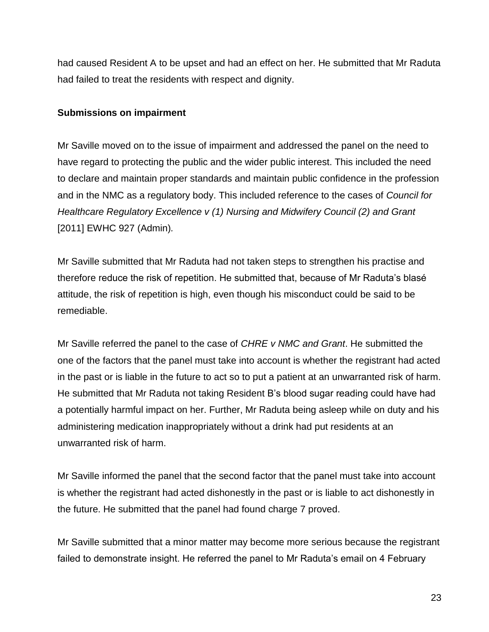had caused Resident A to be upset and had an effect on her. He submitted that Mr Raduta had failed to treat the residents with respect and dignity.

#### **Submissions on impairment**

Mr Saville moved on to the issue of impairment and addressed the panel on the need to have regard to protecting the public and the wider public interest. This included the need to declare and maintain proper standards and maintain public confidence in the profession and in the NMC as a regulatory body. This included reference to the cases of *Council for Healthcare Regulatory Excellence v (1) Nursing and Midwifery Council (2) and Grant*  [2011] EWHC 927 (Admin)*.*

Mr Saville submitted that Mr Raduta had not taken steps to strengthen his practise and therefore reduce the risk of repetition. He submitted that, because of Mr Raduta's blasé attitude, the risk of repetition is high, even though his misconduct could be said to be remediable.

Mr Saville referred the panel to the case of *CHRE v NMC and Grant*. He submitted the one of the factors that the panel must take into account is whether the registrant had acted in the past or is liable in the future to act so to put a patient at an unwarranted risk of harm. He submitted that Mr Raduta not taking Resident B's blood sugar reading could have had a potentially harmful impact on her. Further, Mr Raduta being asleep while on duty and his administering medication inappropriately without a drink had put residents at an unwarranted risk of harm.

Mr Saville informed the panel that the second factor that the panel must take into account is whether the registrant had acted dishonestly in the past or is liable to act dishonestly in the future. He submitted that the panel had found charge 7 proved.

Mr Saville submitted that a minor matter may become more serious because the registrant failed to demonstrate insight. He referred the panel to Mr Raduta's email on 4 February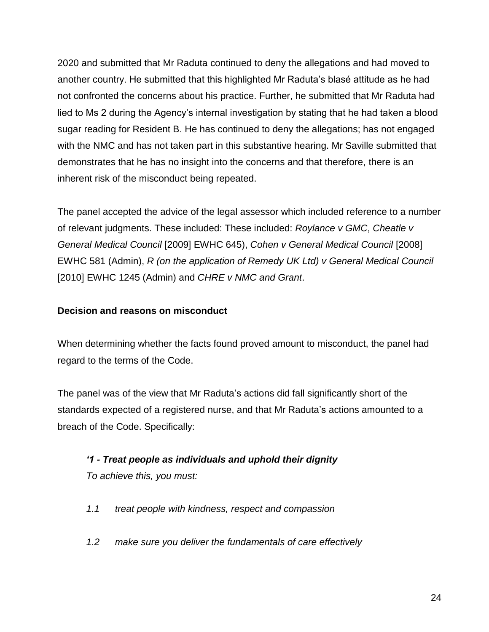2020 and submitted that Mr Raduta continued to deny the allegations and had moved to another country. He submitted that this highlighted Mr Raduta's blasé attitude as he had not confronted the concerns about his practice. Further, he submitted that Mr Raduta had lied to Ms 2 during the Agency's internal investigation by stating that he had taken a blood sugar reading for Resident B. He has continued to deny the allegations; has not engaged with the NMC and has not taken part in this substantive hearing. Mr Saville submitted that demonstrates that he has no insight into the concerns and that therefore, there is an inherent risk of the misconduct being repeated.

The panel accepted the advice of the legal assessor which included reference to a number of relevant judgments. These included: These included: *Roylance v GMC*, *Cheatle v General Medical Council* [2009] EWHC 645), *Cohen v General Medical Council* [2008] EWHC 581 (Admin), *R (on the application of Remedy UK Ltd) v General Medical Council*  [2010] EWHC 1245 (Admin) and *CHRE v NMC and Grant*.

### **Decision and reasons on misconduct**

When determining whether the facts found proved amount to misconduct, the panel had regard to the terms of the Code.

The panel was of the view that Mr Raduta's actions did fall significantly short of the standards expected of a registered nurse, and that Mr Raduta's actions amounted to a breach of the Code. Specifically:

# *'1 - Treat people as individuals and uphold their dignity To achieve this, you must:*

- *1.1 treat people with kindness, respect and compassion*
- *1.2 make sure you deliver the fundamentals of care effectively*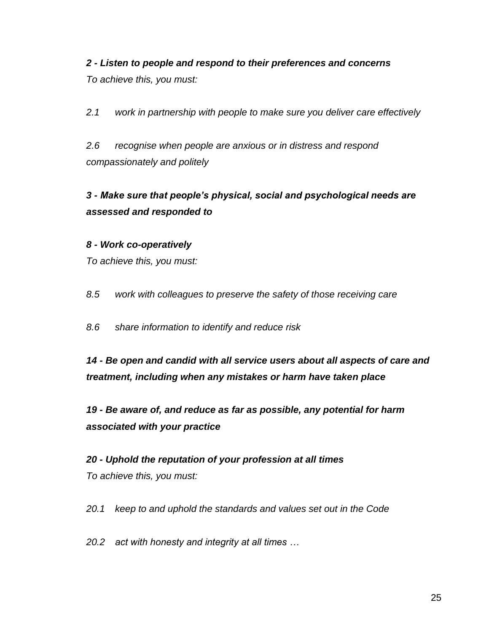# *2 - Listen to people and respond to their preferences and concerns To achieve this, you must:*

*2.1 work in partnership with people to make sure you deliver care effectively* 

*2.6 recognise when people are anxious or in distress and respond compassionately and politely* 

# *3 - Make sure that people's physical, social and psychological needs are assessed and responded to*

## *8 - Work co-operatively*

*To achieve this, you must:* 

*8.5 work with colleagues to preserve the safety of those receiving care* 

*8.6 share information to identify and reduce risk* 

*14 - Be open and candid with all service users about all aspects of care and treatment, including when any mistakes or harm have taken place* 

*19 - Be aware of, and reduce as far as possible, any potential for harm associated with your practice* 

*20 - Uphold the reputation of your profession at all times To achieve this, you must:* 

*20.1 keep to and uphold the standards and values set out in the Code* 

*20.2 act with honesty and integrity at all times …*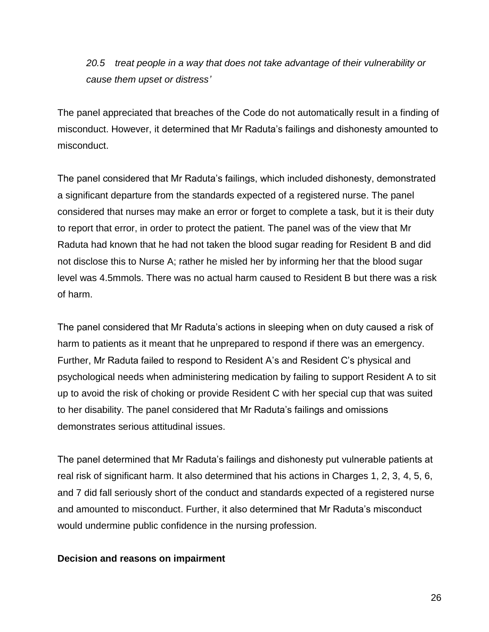*20.5 treat people in a way that does not take advantage of their vulnerability or cause them upset or distress'*

The panel appreciated that breaches of the Code do not automatically result in a finding of misconduct. However, it determined that Mr Raduta's failings and dishonesty amounted to misconduct.

The panel considered that Mr Raduta's failings, which included dishonesty, demonstrated a significant departure from the standards expected of a registered nurse. The panel considered that nurses may make an error or forget to complete a task, but it is their duty to report that error, in order to protect the patient. The panel was of the view that Mr Raduta had known that he had not taken the blood sugar reading for Resident B and did not disclose this to Nurse A; rather he misled her by informing her that the blood sugar level was 4.5mmols. There was no actual harm caused to Resident B but there was a risk of harm.

The panel considered that Mr Raduta's actions in sleeping when on duty caused a risk of harm to patients as it meant that he unprepared to respond if there was an emergency. Further, Mr Raduta failed to respond to Resident A's and Resident C's physical and psychological needs when administering medication by failing to support Resident A to sit up to avoid the risk of choking or provide Resident C with her special cup that was suited to her disability. The panel considered that Mr Raduta's failings and omissions demonstrates serious attitudinal issues.

The panel determined that Mr Raduta's failings and dishonesty put vulnerable patients at real risk of significant harm. It also determined that his actions in Charges 1, 2, 3, 4, 5, 6, and 7 did fall seriously short of the conduct and standards expected of a registered nurse and amounted to misconduct. Further, it also determined that Mr Raduta's misconduct would undermine public confidence in the nursing profession.

#### **Decision and reasons on impairment**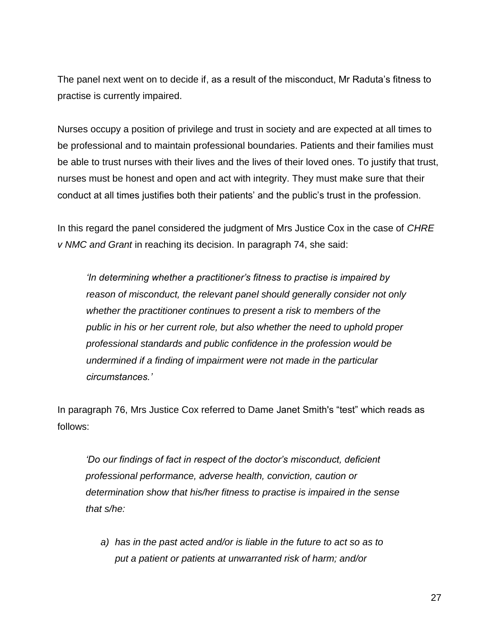The panel next went on to decide if, as a result of the misconduct, Mr Raduta's fitness to practise is currently impaired.

Nurses occupy a position of privilege and trust in society and are expected at all times to be professional and to maintain professional boundaries. Patients and their families must be able to trust nurses with their lives and the lives of their loved ones. To justify that trust, nurses must be honest and open and act with integrity. They must make sure that their conduct at all times justifies both their patients' and the public's trust in the profession.

In this regard the panel considered the judgment of Mrs Justice Cox in the case of *CHRE v NMC and Grant* in reaching its decision. In paragraph 74, she said:

*'In determining whether a practitioner's fitness to practise is impaired by reason of misconduct, the relevant panel should generally consider not only whether the practitioner continues to present a risk to members of the public in his or her current role, but also whether the need to uphold proper professional standards and public confidence in the profession would be undermined if a finding of impairment were not made in the particular circumstances.'*

In paragraph 76, Mrs Justice Cox referred to Dame Janet Smith's "test" which reads as follows:

*'Do our findings of fact in respect of the doctor's misconduct, deficient professional performance, adverse health, conviction, caution or determination show that his/her fitness to practise is impaired in the sense that s/he:*

*a) has in the past acted and/or is liable in the future to act so as to put a patient or patients at unwarranted risk of harm; and/or*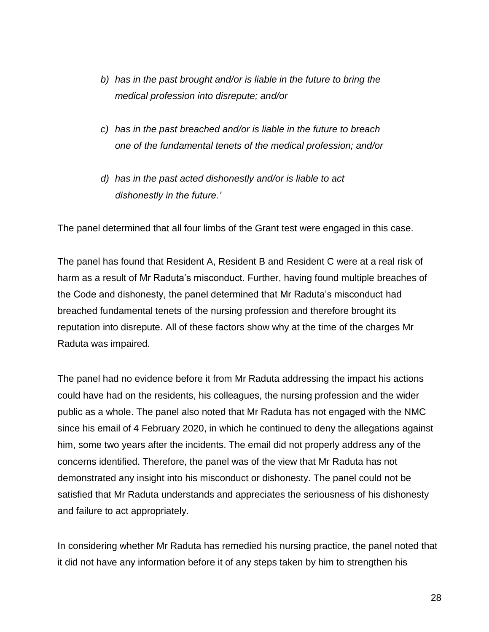- *b) has in the past brought and/or is liable in the future to bring the medical profession into disrepute; and/or*
- *c) has in the past breached and/or is liable in the future to breach one of the fundamental tenets of the medical profession; and/or*
- *d) has in the past acted dishonestly and/or is liable to act dishonestly in the future.'*

The panel determined that all four limbs of the Grant test were engaged in this case.

The panel has found that Resident A, Resident B and Resident C were at a real risk of harm as a result of Mr Raduta's misconduct. Further, having found multiple breaches of the Code and dishonesty, the panel determined that Mr Raduta's misconduct had breached fundamental tenets of the nursing profession and therefore brought its reputation into disrepute. All of these factors show why at the time of the charges Mr Raduta was impaired.

The panel had no evidence before it from Mr Raduta addressing the impact his actions could have had on the residents, his colleagues, the nursing profession and the wider public as a whole. The panel also noted that Mr Raduta has not engaged with the NMC since his email of 4 February 2020, in which he continued to deny the allegations against him, some two years after the incidents. The email did not properly address any of the concerns identified. Therefore, the panel was of the view that Mr Raduta has not demonstrated any insight into his misconduct or dishonesty. The panel could not be satisfied that Mr Raduta understands and appreciates the seriousness of his dishonesty and failure to act appropriately.

In considering whether Mr Raduta has remedied his nursing practice, the panel noted that it did not have any information before it of any steps taken by him to strengthen his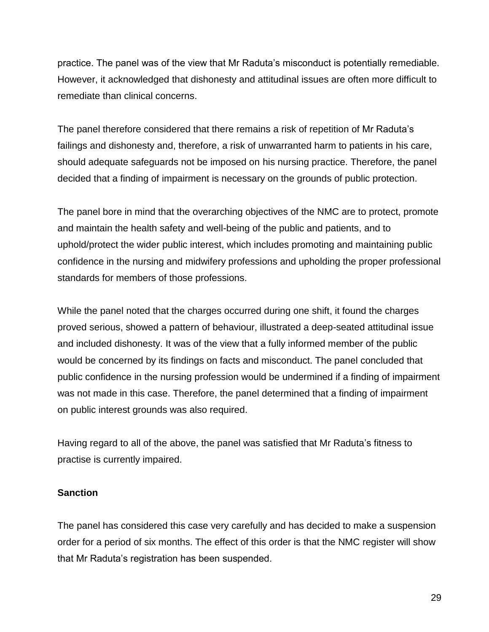practice. The panel was of the view that Mr Raduta's misconduct is potentially remediable. However, it acknowledged that dishonesty and attitudinal issues are often more difficult to remediate than clinical concerns.

The panel therefore considered that there remains a risk of repetition of Mr Raduta's failings and dishonesty and, therefore, a risk of unwarranted harm to patients in his care, should adequate safeguards not be imposed on his nursing practice. Therefore, the panel decided that a finding of impairment is necessary on the grounds of public protection.

The panel bore in mind that the overarching objectives of the NMC are to protect, promote and maintain the health safety and well-being of the public and patients, and to uphold/protect the wider public interest, which includes promoting and maintaining public confidence in the nursing and midwifery professions and upholding the proper professional standards for members of those professions.

While the panel noted that the charges occurred during one shift, it found the charges proved serious, showed a pattern of behaviour, illustrated a deep-seated attitudinal issue and included dishonesty. It was of the view that a fully informed member of the public would be concerned by its findings on facts and misconduct. The panel concluded that public confidence in the nursing profession would be undermined if a finding of impairment was not made in this case. Therefore, the panel determined that a finding of impairment on public interest grounds was also required.

Having regard to all of the above, the panel was satisfied that Mr Raduta's fitness to practise is currently impaired.

### **Sanction**

The panel has considered this case very carefully and has decided to make a suspension order for a period of six months. The effect of this order is that the NMC register will show that Mr Raduta's registration has been suspended.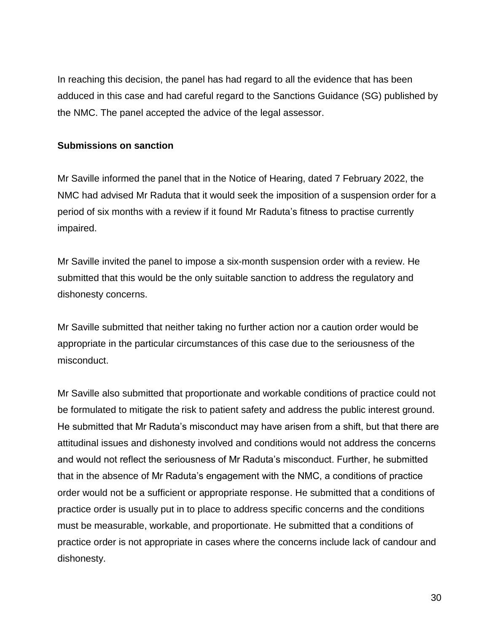In reaching this decision, the panel has had regard to all the evidence that has been adduced in this case and had careful regard to the Sanctions Guidance (SG) published by the NMC. The panel accepted the advice of the legal assessor.

#### **Submissions on sanction**

Mr Saville informed the panel that in the Notice of Hearing, dated 7 February 2022, the NMC had advised Mr Raduta that it would seek the imposition of a suspension order for a period of six months with a review if it found Mr Raduta's fitness to practise currently impaired.

Mr Saville invited the panel to impose a six-month suspension order with a review. He submitted that this would be the only suitable sanction to address the regulatory and dishonesty concerns.

Mr Saville submitted that neither taking no further action nor a caution order would be appropriate in the particular circumstances of this case due to the seriousness of the misconduct.

Mr Saville also submitted that proportionate and workable conditions of practice could not be formulated to mitigate the risk to patient safety and address the public interest ground. He submitted that Mr Raduta's misconduct may have arisen from a shift, but that there are attitudinal issues and dishonesty involved and conditions would not address the concerns and would not reflect the seriousness of Mr Raduta's misconduct. Further, he submitted that in the absence of Mr Raduta's engagement with the NMC, a conditions of practice order would not be a sufficient or appropriate response. He submitted that a conditions of practice order is usually put in to place to address specific concerns and the conditions must be measurable, workable, and proportionate. He submitted that a conditions of practice order is not appropriate in cases where the concerns include lack of candour and dishonesty.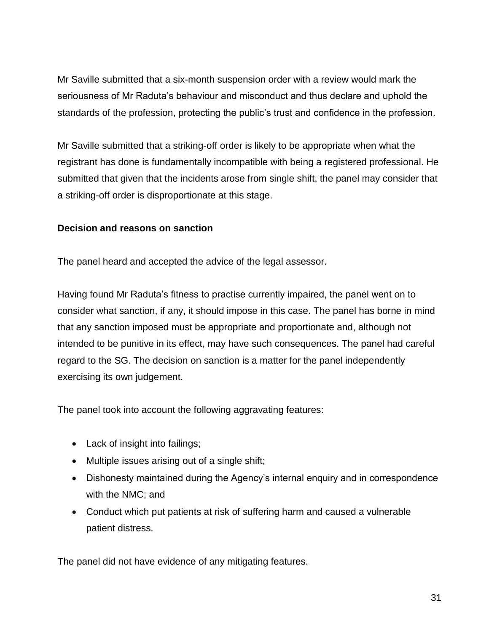Mr Saville submitted that a six-month suspension order with a review would mark the seriousness of Mr Raduta's behaviour and misconduct and thus declare and uphold the standards of the profession, protecting the public's trust and confidence in the profession.

Mr Saville submitted that a striking-off order is likely to be appropriate when what the registrant has done is fundamentally incompatible with being a registered professional. He submitted that given that the incidents arose from single shift, the panel may consider that a striking-off order is disproportionate at this stage.

### **Decision and reasons on sanction**

The panel heard and accepted the advice of the legal assessor.

Having found Mr Raduta's fitness to practise currently impaired, the panel went on to consider what sanction, if any, it should impose in this case. The panel has borne in mind that any sanction imposed must be appropriate and proportionate and, although not intended to be punitive in its effect, may have such consequences. The panel had careful regard to the SG. The decision on sanction is a matter for the panel independently exercising its own judgement.

The panel took into account the following aggravating features:

- Lack of insight into failings;
- Multiple issues arising out of a single shift;
- Dishonesty maintained during the Agency's internal enquiry and in correspondence with the NMC; and
- Conduct which put patients at risk of suffering harm and caused a vulnerable patient distress.

The panel did not have evidence of any mitigating features.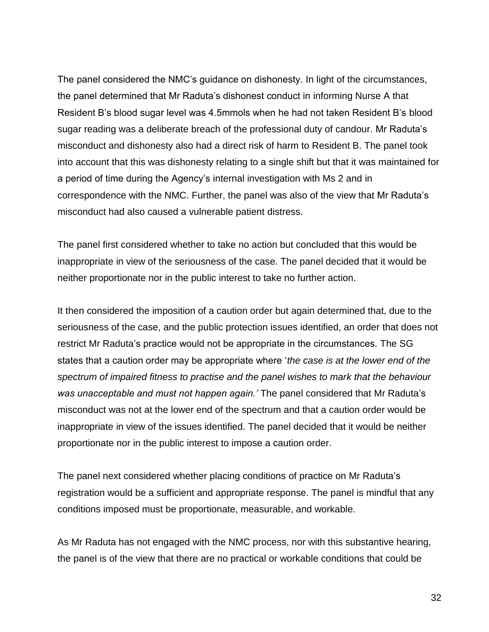The panel considered the NMC's guidance on dishonesty. In light of the circumstances, the panel determined that Mr Raduta's dishonest conduct in informing Nurse A that Resident B's blood sugar level was 4.5mmols when he had not taken Resident B's blood sugar reading was a deliberate breach of the professional duty of candour. Mr Raduta's misconduct and dishonesty also had a direct risk of harm to Resident B. The panel took into account that this was dishonesty relating to a single shift but that it was maintained for a period of time during the Agency's internal investigation with Ms 2 and in correspondence with the NMC. Further, the panel was also of the view that Mr Raduta's misconduct had also caused a vulnerable patient distress.

The panel first considered whether to take no action but concluded that this would be inappropriate in view of the seriousness of the case. The panel decided that it would be neither proportionate nor in the public interest to take no further action.

It then considered the imposition of a caution order but again determined that, due to the seriousness of the case, and the public protection issues identified, an order that does not restrict Mr Raduta's practice would not be appropriate in the circumstances. The SG states that a caution order may be appropriate where '*the case is at the lower end of the spectrum of impaired fitness to practise and the panel wishes to mark that the behaviour was unacceptable and must not happen again.'* The panel considered that Mr Raduta's misconduct was not at the lower end of the spectrum and that a caution order would be inappropriate in view of the issues identified. The panel decided that it would be neither proportionate nor in the public interest to impose a caution order.

The panel next considered whether placing conditions of practice on Mr Raduta's registration would be a sufficient and appropriate response. The panel is mindful that any conditions imposed must be proportionate, measurable, and workable.

As Mr Raduta has not engaged with the NMC process, nor with this substantive hearing, the panel is of the view that there are no practical or workable conditions that could be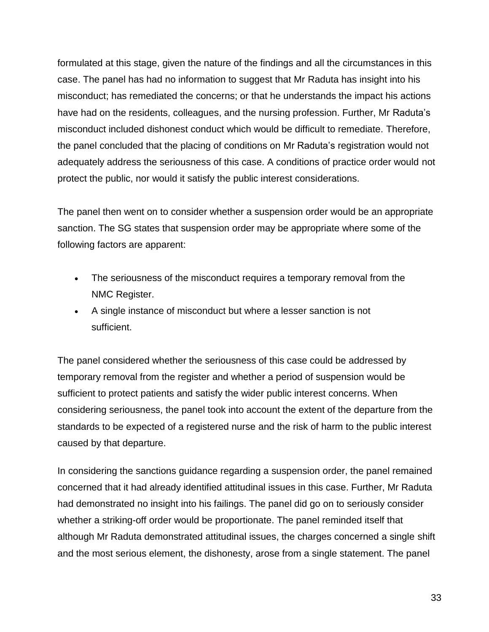formulated at this stage, given the nature of the findings and all the circumstances in this case. The panel has had no information to suggest that Mr Raduta has insight into his misconduct; has remediated the concerns; or that he understands the impact his actions have had on the residents, colleagues, and the nursing profession. Further, Mr Raduta's misconduct included dishonest conduct which would be difficult to remediate. Therefore, the panel concluded that the placing of conditions on Mr Raduta's registration would not adequately address the seriousness of this case. A conditions of practice order would not protect the public, nor would it satisfy the public interest considerations.

The panel then went on to consider whether a suspension order would be an appropriate sanction. The SG states that suspension order may be appropriate where some of the following factors are apparent:

- The seriousness of the misconduct requires a temporary removal from the NMC Register.
- A single instance of misconduct but where a lesser sanction is not sufficient.

The panel considered whether the seriousness of this case could be addressed by temporary removal from the register and whether a period of suspension would be sufficient to protect patients and satisfy the wider public interest concerns. When considering seriousness, the panel took into account the extent of the departure from the standards to be expected of a registered nurse and the risk of harm to the public interest caused by that departure.

In considering the sanctions guidance regarding a suspension order, the panel remained concerned that it had already identified attitudinal issues in this case. Further, Mr Raduta had demonstrated no insight into his failings. The panel did go on to seriously consider whether a striking-off order would be proportionate. The panel reminded itself that although Mr Raduta demonstrated attitudinal issues, the charges concerned a single shift and the most serious element, the dishonesty, arose from a single statement. The panel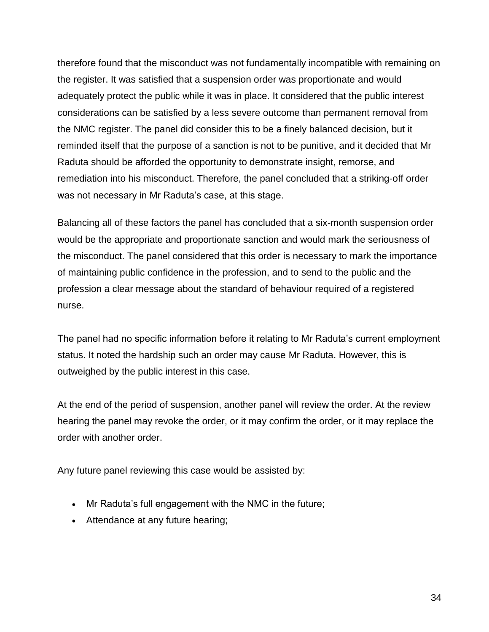therefore found that the misconduct was not fundamentally incompatible with remaining on the register. It was satisfied that a suspension order was proportionate and would adequately protect the public while it was in place. It considered that the public interest considerations can be satisfied by a less severe outcome than permanent removal from the NMC register. The panel did consider this to be a finely balanced decision, but it reminded itself that the purpose of a sanction is not to be punitive, and it decided that Mr Raduta should be afforded the opportunity to demonstrate insight, remorse, and remediation into his misconduct. Therefore, the panel concluded that a striking-off order was not necessary in Mr Raduta's case, at this stage.

Balancing all of these factors the panel has concluded that a six-month suspension order would be the appropriate and proportionate sanction and would mark the seriousness of the misconduct. The panel considered that this order is necessary to mark the importance of maintaining public confidence in the profession, and to send to the public and the profession a clear message about the standard of behaviour required of a registered nurse.

The panel had no specific information before it relating to Mr Raduta's current employment status. It noted the hardship such an order may cause Mr Raduta. However, this is outweighed by the public interest in this case.

At the end of the period of suspension, another panel will review the order. At the review hearing the panel may revoke the order, or it may confirm the order, or it may replace the order with another order.

Any future panel reviewing this case would be assisted by:

- Mr Raduta's full engagement with the NMC in the future;
- Attendance at any future hearing;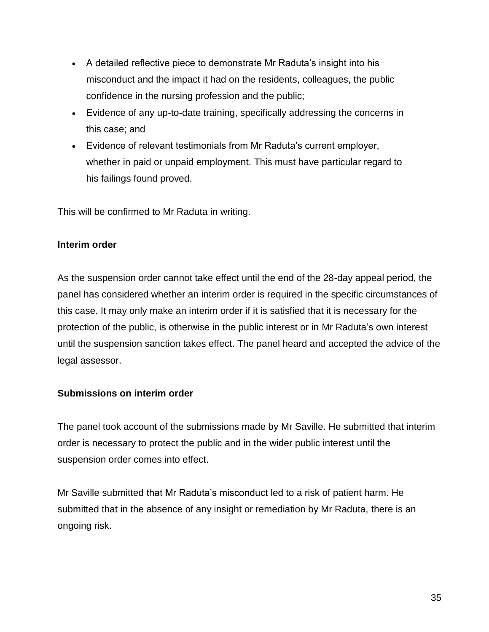- A detailed reflective piece to demonstrate Mr Raduta's insight into his misconduct and the impact it had on the residents, colleagues, the public confidence in the nursing profession and the public;
- Evidence of any up-to-date training, specifically addressing the concerns in this case; and
- Evidence of relevant testimonials from Mr Raduta's current employer, whether in paid or unpaid employment. This must have particular regard to his failings found proved.

This will be confirmed to Mr Raduta in writing.

### **Interim order**

As the suspension order cannot take effect until the end of the 28-day appeal period, the panel has considered whether an interim order is required in the specific circumstances of this case. It may only make an interim order if it is satisfied that it is necessary for the protection of the public, is otherwise in the public interest or in Mr Raduta's own interest until the suspension sanction takes effect. The panel heard and accepted the advice of the legal assessor.

### **Submissions on interim order**

The panel took account of the submissions made by Mr Saville. He submitted that interim order is necessary to protect the public and in the wider public interest until the suspension order comes into effect.

Mr Saville submitted that Mr Raduta's misconduct led to a risk of patient harm. He submitted that in the absence of any insight or remediation by Mr Raduta, there is an ongoing risk.